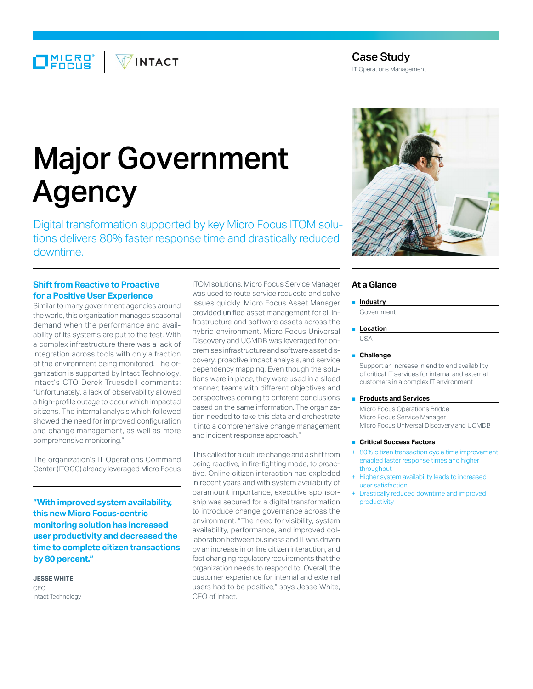$\Box$ MICRO $^{\circ}$ **VINTACT** 

## Case Study

IT Operations Management

# Major Government Agency

Digital transformation supported by key Micro Focus ITOM solutions delivers 80% faster response time and drastically reduced downtime.

## **Shift from Reactive to Proactive for a Positive User Experience**

Similar to many government agencies around the world, this organization manages seasonal demand when the performance and availability of its systems are put to the test. With a complex infrastructure there was a lack of integration across tools with only a fraction of the environment being monitored. The organization is supported by Intact Technology. Intact's CTO Derek Truesdell comments: "Unfortunately, a lack of observability allowed a high-profile outage to occur which impacted citizens. The internal analysis which followed showed the need for improved configuration and change management, as well as more comprehensive monitoring."

The organization's IT Operations Command Center (ITOCC) already leveraged Micro Focus

**"With improved system availability, this new Micro Focus-centric monitoring solution has increased user productivity and decreased the time to complete citizen transactions by 80 percent."**

**JESSE WHITE** CEO Intact Technology ITOM solutions. Micro Focus Service Manager was used to route service requests and solve issues quickly. Micro Focus Asset Manager provided unified asset management for all infrastructure and software assets across the hybrid environment. Micro Focus Universal Discovery and UCMDB was leveraged for onpremises infrastructure and software asset discovery, proactive impact analysis, and service dependency mapping. Even though the solutions were in place, they were used in a siloed manner; teams with different objectives and perspectives coming to different conclusions based on the same information. The organization needed to take this data and orchestrate it into a comprehensive change management and incident response approach."

This called for a culture change and a shift from being reactive, in fire-fighting mode, to proactive. Online citizen interaction has exploded in recent years and with system availability of paramount importance, executive sponsorship was secured for a digital transformation to introduce change governance across the environment. "The need for visibility, system availability, performance, and improved collaboration between business and IT was driven by an increase in online citizen interaction, and fast changing regulatory requirements that the organization needs to respond to. Overall, the customer experience for internal and external users had to be positive," says Jesse White, CEO of Intact.



### **At a Glance**

## ■ **Industry**

Government

#### ■ **Location**  $IISA$

#### ■ **Challenge**

Support an increase in end to end availability of critical IT services for internal and external customers in a complex IT environment

#### ■ **Products and Services**

Micro Focus Operations Bridge Micro Focus Service Manager Micro Focus Universal Discovery and UCMDB

- **Critical Success Factors**
- 80% citizen transaction cycle time improvement enabled faster response times and higher throughput
- Higher system availability leads to increased user satisfaction
- Drastically reduced downtime and improved productivity